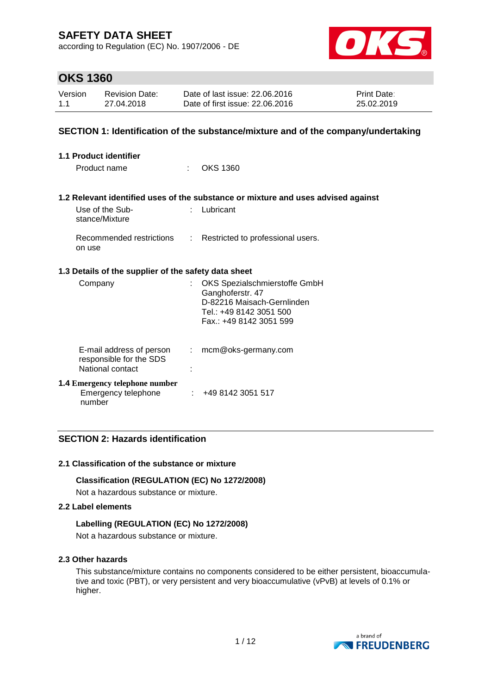according to Regulation (EC) No. 1907/2006 - DE



## **OKS 1360**

| Version | <b>Revision Date:</b> | Date of last issue: 22,06,2016  | Print Date: |
|---------|-----------------------|---------------------------------|-------------|
| 1.1     | 27.04.2018            | Date of first issue: 22.06.2016 | 25.02.2019  |

### **SECTION 1: Identification of the substance/mixture and of the company/undertaking**

| 1.1 Product identifier                                                  |               |                                                                                                                                      |  |  |  |
|-------------------------------------------------------------------------|---------------|--------------------------------------------------------------------------------------------------------------------------------------|--|--|--|
| Product name                                                            | ÷             | <b>OKS 1360</b>                                                                                                                      |  |  |  |
|                                                                         |               |                                                                                                                                      |  |  |  |
|                                                                         |               | 1.2 Relevant identified uses of the substance or mixture and uses advised against                                                    |  |  |  |
| Use of the Sub-<br>stance/Mixture                                       | t.            | Lubricant                                                                                                                            |  |  |  |
| Recommended restrictions<br>on use                                      | $\mathcal{L}$ | Restricted to professional users.                                                                                                    |  |  |  |
| 1.3 Details of the supplier of the safety data sheet                    |               |                                                                                                                                      |  |  |  |
| Company                                                                 |               | OKS Spezialschmierstoffe GmbH<br>Ganghoferstr. 47<br>D-82216 Maisach-Gernlinden<br>Tel.: +49 8142 3051 500<br>Fax: +49 8142 3051 599 |  |  |  |
| E-mail address of person<br>responsible for the SDS<br>National contact | ÷.            | mcm@oks-germany.com                                                                                                                  |  |  |  |
| <b>1.4 Emergency telephone number</b><br>Emergency telephone<br>number  |               | : 4981423051517                                                                                                                      |  |  |  |

### **SECTION 2: Hazards identification**

#### **2.1 Classification of the substance or mixture**

#### **Classification (REGULATION (EC) No 1272/2008)**

Not a hazardous substance or mixture.

#### **2.2 Label elements**

#### **Labelling (REGULATION (EC) No 1272/2008)**

Not a hazardous substance or mixture.

#### **2.3 Other hazards**

This substance/mixture contains no components considered to be either persistent, bioaccumulative and toxic (PBT), or very persistent and very bioaccumulative (vPvB) at levels of 0.1% or higher.

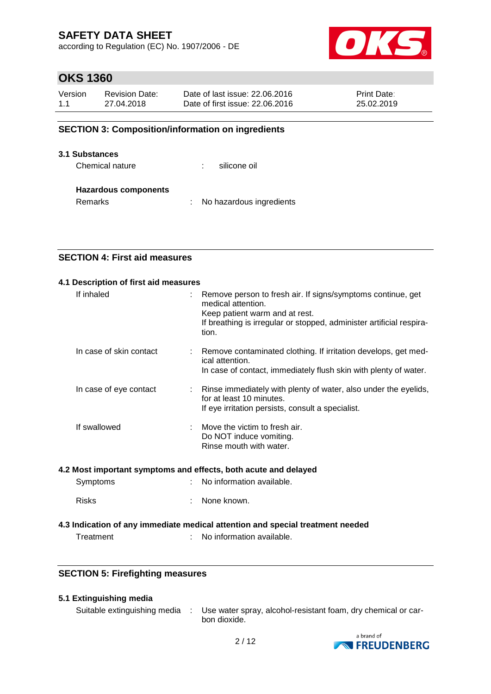according to Regulation (EC) No. 1907/2006 - DE



## **OKS 1360**

| Version | <b>Revision Date:</b> | Date of last issue: 22,06,2016  | <b>Print Date:</b> |
|---------|-----------------------|---------------------------------|--------------------|
| 1.1     | 27.04.2018            | Date of first issue: 22,06,2016 | 25.02.2019         |

### **SECTION 3: Composition/information on ingredients**

#### **3.1 Substances**

Chemical nature  $\qquad \qquad$ : silicone oil

#### **Hazardous components**

Remarks : No hazardous ingredients

### **SECTION 4: First aid measures**

| 4.1 Description of first aid measures |                         |  |                                                                                                                                                                                                      |  |  |  |
|---------------------------------------|-------------------------|--|------------------------------------------------------------------------------------------------------------------------------------------------------------------------------------------------------|--|--|--|
|                                       | If inhaled              |  | Remove person to fresh air. If signs/symptoms continue, get<br>medical attention.<br>Keep patient warm and at rest.<br>If breathing is irregular or stopped, administer artificial respira-<br>tion. |  |  |  |
|                                       | In case of skin contact |  | Remove contaminated clothing. If irritation develops, get med-<br>ical attention.<br>In case of contact, immediately flush skin with plenty of water.                                                |  |  |  |
|                                       | In case of eye contact  |  | Rinse immediately with plenty of water, also under the eyelids,<br>for at least 10 minutes.<br>If eye irritation persists, consult a specialist.                                                     |  |  |  |
|                                       | If swallowed            |  | Move the victim to fresh air.<br>Do NOT induce vomiting.<br>Rinse mouth with water.                                                                                                                  |  |  |  |

#### **4.2 Most important symptoms and effects, both acute and delayed**

| Symptoms | No information available. |
|----------|---------------------------|
|----------|---------------------------|

Risks : None known.

#### **4.3 Indication of any immediate medical attention and special treatment needed**

Treatment : No information available.

### **SECTION 5: Firefighting measures**

#### **5.1 Extinguishing media**

Suitable extinguishing media : Use water spray, alcohol-resistant foam, dry chemical or carbon dioxide.

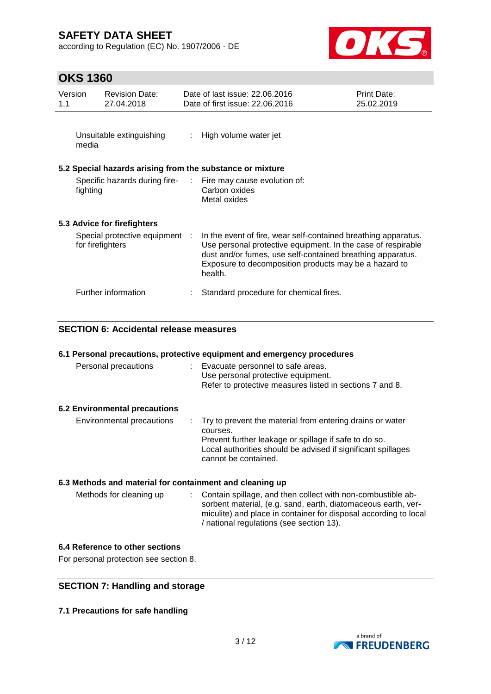according to Regulation (EC) No. 1907/2006 - DE



## **OKS 1360**

| Version<br>1.1                                     | <b>Revision Date:</b><br>27.04.2018                       | Date of last issue: 22.06.2016<br>Date of first issue: 22.06.2016                                                                                                                                                                                                | Print Date:<br>25.02.2019 |
|----------------------------------------------------|-----------------------------------------------------------|------------------------------------------------------------------------------------------------------------------------------------------------------------------------------------------------------------------------------------------------------------------|---------------------------|
| media                                              | Unsuitable extinguishing                                  | : High volume water jet                                                                                                                                                                                                                                          |                           |
|                                                    | 5.2 Special hazards arising from the substance or mixture |                                                                                                                                                                                                                                                                  |                           |
| fighting                                           |                                                           | Specific hazards during fire- : Fire may cause evolution of:<br>Carbon oxides<br>Metal oxides                                                                                                                                                                    |                           |
|                                                    | 5.3 Advice for firefighters                               |                                                                                                                                                                                                                                                                  |                           |
| Special protective equipment :<br>for firefighters |                                                           | In the event of fire, wear self-contained breathing apparatus.<br>Use personal protective equipment. In the case of respirable<br>dust and/or fumes, use self-contained breathing apparatus.<br>Exposure to decomposition products may be a hazard to<br>health. |                           |
|                                                    | Further information                                       | Standard procedure for chemical fires.                                                                                                                                                                                                                           |                           |

### **SECTION 6: Accidental release measures**

|  | 6.1 Personal precautions, protective equipment and emergency procedures |  |
|--|-------------------------------------------------------------------------|--|
|  |                                                                         |  |

| Personal precautions                 | Evacuate personnel to safe areas.<br>Use personal protective equipment.<br>Refer to protective measures listed in sections 7 and 8.                                                                                      |
|--------------------------------------|--------------------------------------------------------------------------------------------------------------------------------------------------------------------------------------------------------------------------|
| <b>6.2 Environmental precautions</b> |                                                                                                                                                                                                                          |
| Environmental precautions            | : Try to prevent the material from entering drains or water<br>courses.<br>Prevent further leakage or spillage if safe to do so.<br>Local authorities should be advised if significant spillages<br>cannot be contained. |

### **6.3 Methods and material for containment and cleaning up**

| Methods for cleaning up | : Contain spillage, and then collect with non-combustible ab-    |
|-------------------------|------------------------------------------------------------------|
|                         | sorbent material, (e.g. sand, earth, diatomaceous earth, ver-    |
|                         | miculite) and place in container for disposal according to local |
|                         | / national regulations (see section 13).                         |

#### **6.4 Reference to other sections**

For personal protection see section 8.

### **SECTION 7: Handling and storage**

**7.1 Precautions for safe handling**

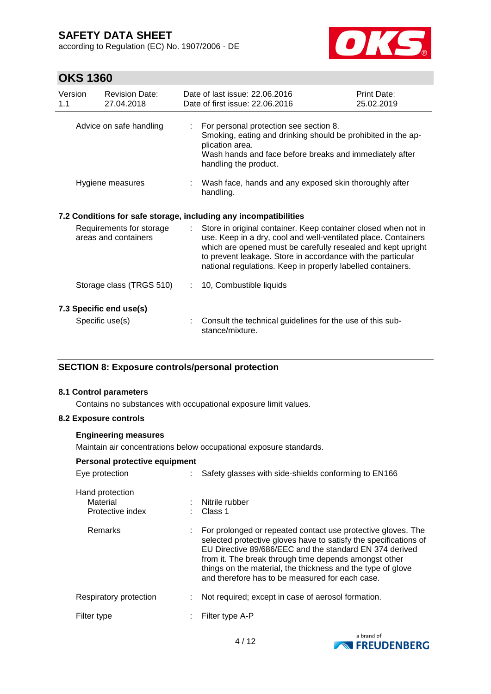according to Regulation (EC) No. 1907/2006 - DE



## **OKS 1360**

| Version<br>1.1                                   | <b>Revision Date:</b><br>27.04.2018 |    | Date of last issue: 22.06.2016<br>Date of first issue: 22.06.2016                                                                                                                                                                                                                                                              | Print Date:<br>25.02.2019 |
|--------------------------------------------------|-------------------------------------|----|--------------------------------------------------------------------------------------------------------------------------------------------------------------------------------------------------------------------------------------------------------------------------------------------------------------------------------|---------------------------|
| Advice on safe handling                          |                                     | t. | For personal protection see section 8.<br>Smoking, eating and drinking should be prohibited in the ap-<br>plication area.<br>Wash hands and face before breaks and immediately after<br>handling the product.                                                                                                                  |                           |
|                                                  | Hygiene measures                    |    | : Wash face, hands and any exposed skin thoroughly after<br>handling.                                                                                                                                                                                                                                                          |                           |
|                                                  |                                     |    | 7.2 Conditions for safe storage, including any incompatibilities                                                                                                                                                                                                                                                               |                           |
| Requirements for storage<br>areas and containers |                                     |    | Store in original container. Keep container closed when not in<br>use. Keep in a dry, cool and well-ventilated place. Containers<br>which are opened must be carefully resealed and kept upright<br>to prevent leakage. Store in accordance with the particular<br>national regulations. Keep in properly labelled containers. |                           |
|                                                  | Storage class (TRGS 510)            |    | 10, Combustible liquids                                                                                                                                                                                                                                                                                                        |                           |
|                                                  | 7.3 Specific end use(s)             |    |                                                                                                                                                                                                                                                                                                                                |                           |
|                                                  | Specific use(s)                     |    | Consult the technical guidelines for the use of this sub-<br>stance/mixture.                                                                                                                                                                                                                                                   |                           |

### **SECTION 8: Exposure controls/personal protection**

#### **8.1 Control parameters**

Contains no substances with occupational exposure limit values.

#### **8.2 Exposure controls**

#### **Engineering measures**

Maintain air concentrations below occupational exposure standards.

### **Personal protective equipment**

| Eye protection                                  |   | Safety glasses with side-shields conforming to EN166                                                                                                                                                                                                                                                                                                                   |
|-------------------------------------------------|---|------------------------------------------------------------------------------------------------------------------------------------------------------------------------------------------------------------------------------------------------------------------------------------------------------------------------------------------------------------------------|
| Hand protection<br>Material<br>Protective index |   | Nitrile rubber<br>Class 1                                                                                                                                                                                                                                                                                                                                              |
| Remarks                                         |   | For prolonged or repeated contact use protective gloves. The<br>selected protective gloves have to satisfy the specifications of<br>EU Directive 89/686/EEC and the standard EN 374 derived<br>from it. The break through time depends amongst other<br>things on the material, the thickness and the type of glove<br>and therefore has to be measured for each case. |
| Respiratory protection                          |   | Not required; except in case of aerosol formation.                                                                                                                                                                                                                                                                                                                     |
| Filter type                                     | ÷ | Filter type A-P                                                                                                                                                                                                                                                                                                                                                        |
|                                                 |   |                                                                                                                                                                                                                                                                                                                                                                        |

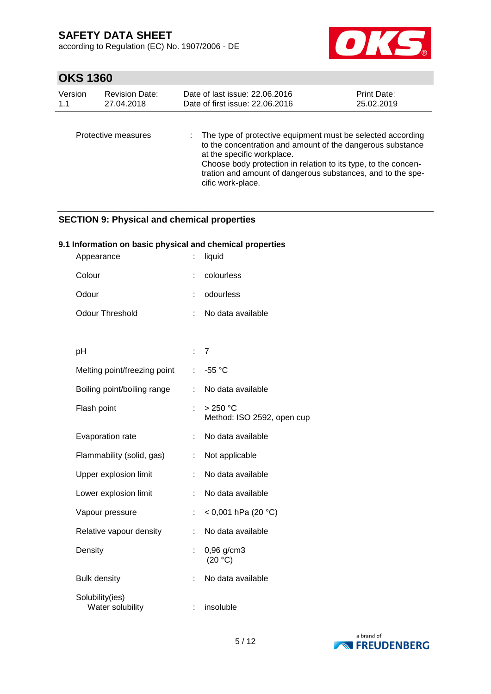according to Regulation (EC) No. 1907/2006 - DE



## **OKS 1360**

| Version | <b>Revision Date:</b> | Date of last issue: 22.06.2016                                                                                                                                                                                                                                                                                | <b>Print Date:</b> |
|---------|-----------------------|---------------------------------------------------------------------------------------------------------------------------------------------------------------------------------------------------------------------------------------------------------------------------------------------------------------|--------------------|
| 1.1     | 27.04.2018            | Date of first issue: 22.06.2016                                                                                                                                                                                                                                                                               | 25.02.2019         |
|         | Protective measures   | The type of protective equipment must be selected according<br>to the concentration and amount of the dangerous substance<br>at the specific workplace.<br>Choose body protection in relation to its type, to the concen-<br>tration and amount of dangerous substances, and to the spe-<br>cific work-place. |                    |

### **SECTION 9: Physical and chemical properties**

### **9.1 Information on basic physical and chemical properties**

| Appearance                          |    | liquid                                  |
|-------------------------------------|----|-----------------------------------------|
| Colour                              | t  | colourless                              |
| Odour                               | t  | odourless                               |
| <b>Odour Threshold</b>              | ÷  | No data available                       |
|                                     |    |                                         |
| рH                                  | t. | $\overline{7}$                          |
| Melting point/freezing point        | t  | -55 °C                                  |
| Boiling point/boiling range         | t. | No data available                       |
| Flash point                         |    | $>250$ °C<br>Method: ISO 2592, open cup |
| Evaporation rate                    | ÷  | No data available                       |
| Flammability (solid, gas)           | ÷  | Not applicable                          |
| Upper explosion limit               | ÷  | No data available                       |
| Lower explosion limit               | ÷  | No data available                       |
| Vapour pressure                     | ÷  | < 0,001 hPa (20 °C)                     |
| Relative vapour density             | ÷  | No data available                       |
| Density                             |    | 0,96 g/cm3<br>(20 °C)                   |
| <b>Bulk density</b>                 |    | No data available                       |
| Solubility(ies)<br>Water solubility | ÷  | insoluble                               |

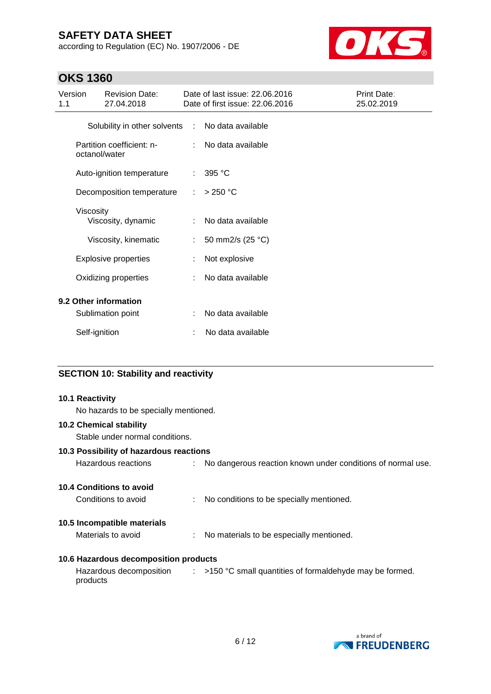according to Regulation (EC) No. 1907/2006 - DE



## **OKS 1360**

| Version<br>1.1 | <b>Revision Date:</b><br>27.04.2018        |            | Date of last issue: 22.06.2016<br>Date of first issue: 22.06.2016 | Print Date:<br>25.02.2019 |
|----------------|--------------------------------------------|------------|-------------------------------------------------------------------|---------------------------|
|                | Solubility in other solvents               | ÷          | No data available                                                 |                           |
|                | Partition coefficient: n-<br>octanol/water | $\epsilon$ | No data available                                                 |                           |
|                | Auto-ignition temperature                  | ÷          | 395 °C                                                            |                           |
|                | Decomposition temperature                  | ÷          | $>250$ °C                                                         |                           |
|                | Viscosity<br>Viscosity, dynamic            |            | No data available                                                 |                           |
|                | Viscosity, kinematic                       | ÷          | 50 mm2/s (25 °C)                                                  |                           |
|                | <b>Explosive properties</b>                |            | Not explosive                                                     |                           |
|                | Oxidizing properties                       |            | No data available                                                 |                           |
|                | 9.2 Other information                      |            |                                                                   |                           |
|                | Sublimation point                          |            | No data available                                                 |                           |
|                | Self-ignition                              |            | No data available                                                 |                           |

### **SECTION 10: Stability and reactivity**

# **10.1 Reactivity** No hazards to be specially mentioned. **10.2 Chemical stability** Stable under normal conditions. **10.3 Possibility of hazardous reactions** Hazardous reactions : No dangerous reaction known under conditions of normal use. **10.4 Conditions to avoid** Conditions to avoid : No conditions to be specially mentioned. **10.5 Incompatible materials** Materials to avoid : No materials to be especially mentioned. **10.6 Hazardous decomposition products** Hazardous decomposition  $\qquad : \qquad$  >150 °C small quantities of formaldehyde may be formed. products

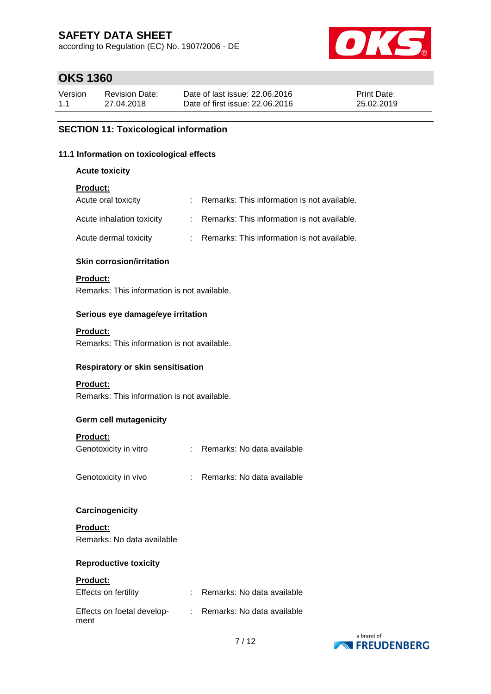according to Regulation (EC) No. 1907/2006 - DE



## **OKS 1360**

| Version | Revision Date: | Date of last issue: 22,06,2016  | <b>Print Date:</b> |
|---------|----------------|---------------------------------|--------------------|
| 1.1     | 27.04.2018     | Date of first issue: 22.06.2016 | 25.02.2019         |

### **SECTION 11: Toxicological information**

#### **11.1 Information on toxicological effects**

**Acute toxicity**

### **Product:**

| Acute oral toxicity       | : Remarks: This information is not available. |
|---------------------------|-----------------------------------------------|
| Acute inhalation toxicity | : Remarks: This information is not available. |
| Acute dermal toxicity     | : Remarks: This information is not available. |

#### **Skin corrosion/irritation**

#### **Product:**

Remarks: This information is not available.

#### **Serious eye damage/eye irritation**

#### **Product:**

Remarks: This information is not available.

#### **Respiratory or skin sensitisation**

#### **Product:**

Remarks: This information is not available.

### **Germ cell mutagenicity**

#### **Product:**

| Genotoxicity in vitro | Remarks: No data available |
|-----------------------|----------------------------|
| Genotoxicity in vivo  | Remarks: No data available |

#### **Carcinogenicity**

**Product:** Remarks: No data available

#### **Reproductive toxicity**

#### **Product:**

| Effects on fertility               | Remarks: No data available |
|------------------------------------|----------------------------|
| Effects on foetal develop-<br>ment | Remarks: No data available |

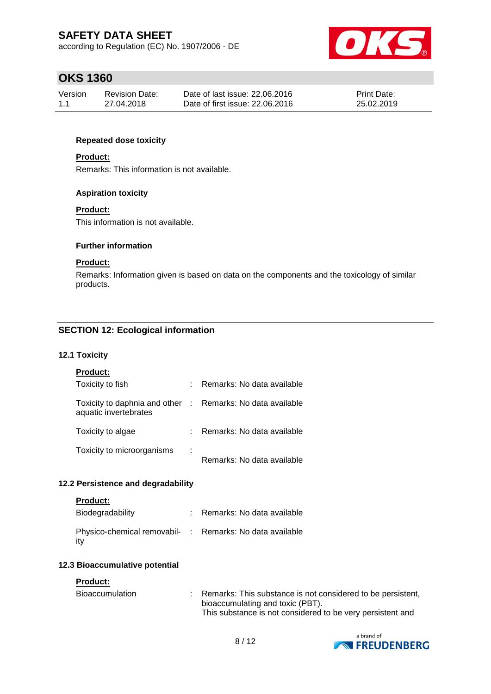according to Regulation (EC) No. 1907/2006 - DE



## **OKS 1360**

| Version | Revision Date: | Date of last issue: 22,06,2016  | <b>Print Date:</b> |
|---------|----------------|---------------------------------|--------------------|
| 1.1     | 27.04.2018     | Date of first issue: 22.06.2016 | 25.02.2019         |

### **Repeated dose toxicity**

#### **Product:**

Remarks: This information is not available.

#### **Aspiration toxicity**

#### **Product:**

This information is not available.

#### **Further information**

#### **Product:**

Remarks: Information given is based on data on the components and the toxicology of similar products.

### **SECTION 12: Ecological information**

#### **12.1 Toxicity**

| Product |
|---------|
|---------|

| Toxicity to fish                                                                    |   | : Remarks: No data available |
|-------------------------------------------------------------------------------------|---|------------------------------|
| Toxicity to daphnia and other : Remarks: No data available<br>aquatic invertebrates |   |                              |
| Toxicity to algae                                                                   |   | : Remarks: No data available |
| Toxicity to microorganisms                                                          | ÷ | Remarks: No data available   |

#### **12.2 Persistence and degradability**

#### **Product:**

| Biodegradability                                                 | : Remarks: No data available |
|------------------------------------------------------------------|------------------------------|
| Physico-chemical removabil- : Remarks: No data available<br>∣it∨ |                              |

#### **12.3 Bioaccumulative potential**

#### **Product:**

| <b>Bioaccumulation</b> |  | Remarks: This substance is not considered to be persistent, |
|------------------------|--|-------------------------------------------------------------|
|                        |  | bioaccumulating and toxic (PBT).                            |
|                        |  | This substance is not considered to be very persistent and  |

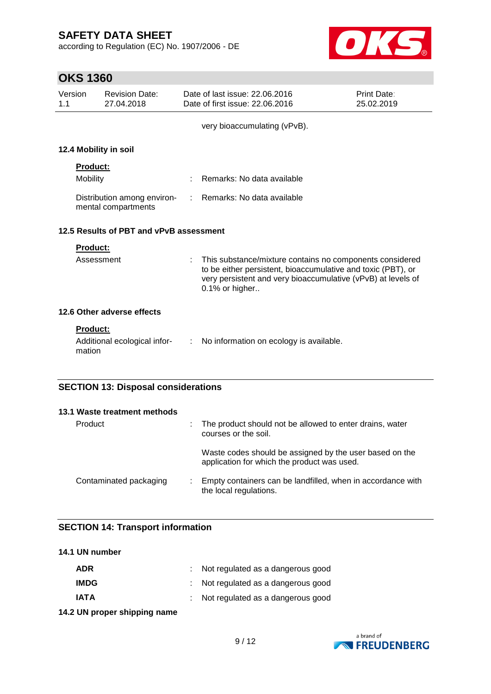according to Regulation (EC) No. 1907/2006 - DE



## **OKS 1360**

| Version<br>1.1 |                             | <b>Revision Date:</b><br>27.04.2018                |            | Date of last issue: 22.06.2016<br>Date of first issue: 22.06.2016                                                                                                                                          | Print Date:<br>25.02.2019 |
|----------------|-----------------------------|----------------------------------------------------|------------|------------------------------------------------------------------------------------------------------------------------------------------------------------------------------------------------------------|---------------------------|
|                |                             |                                                    |            | very bioaccumulating (vPvB).                                                                                                                                                                               |                           |
|                |                             | 12.4 Mobility in soil                              |            |                                                                                                                                                                                                            |                           |
|                | <b>Product:</b><br>Mobility |                                                    |            | Remarks: No data available                                                                                                                                                                                 |                           |
|                |                             | Distribution among environ-<br>mental compartments | $\sim 100$ | Remarks: No data available                                                                                                                                                                                 |                           |
|                |                             | 12.5 Results of PBT and vPvB assessment            |            |                                                                                                                                                                                                            |                           |
|                | <b>Product:</b>             |                                                    |            |                                                                                                                                                                                                            |                           |
|                | Assessment                  |                                                    |            | This substance/mixture contains no components considered<br>to be either persistent, bioaccumulative and toxic (PBT), or<br>very persistent and very bioaccumulative (vPvB) at levels of<br>0.1% or higher |                           |
|                |                             | 12.6 Other adverse effects                         |            |                                                                                                                                                                                                            |                           |
|                | <b>Product:</b>             |                                                    |            | Additional ecological infor- : No information on ecology is available.                                                                                                                                     |                           |
|                | mation                      |                                                    |            |                                                                                                                                                                                                            |                           |
|                |                             | <b>SECTION 13: Disposal considerations</b>         |            |                                                                                                                                                                                                            |                           |

| 13.1 Waste treatment methods |                                                                                                        |
|------------------------------|--------------------------------------------------------------------------------------------------------|
| Product                      | : The product should not be allowed to enter drains, water<br>courses or the soil.                     |
|                              | Waste codes should be assigned by the user based on the<br>application for which the product was used. |
| Contaminated packaging       | : Empty containers can be landfilled, when in accordance with<br>the local regulations.                |

### **SECTION 14: Transport information**

| 14.1 UN number |                                     |
|----------------|-------------------------------------|
| ADR            | : Not regulated as a dangerous good |
| <b>IMDG</b>    | : Not regulated as a dangerous good |
| <b>IATA</b>    | : Not regulated as a dangerous good |
|                |                                     |

**14.2 UN proper shipping name**

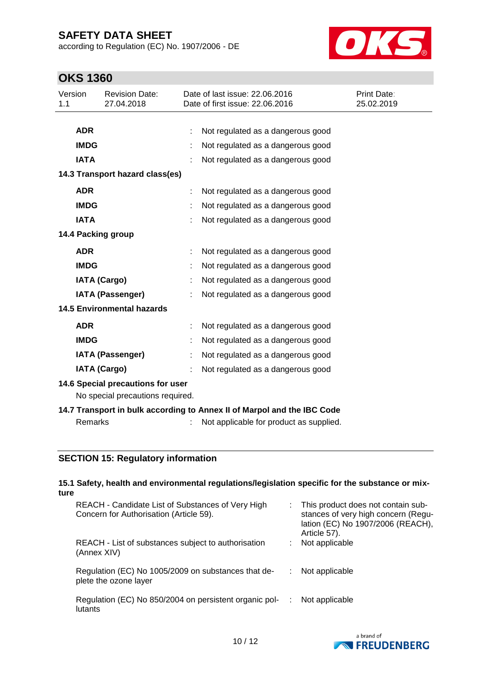according to Regulation (EC) No. 1907/2006 - DE



## **OKS 1360**

| Version<br>1.1                                                          |             | <b>Revision Date:</b><br>27.04.2018 |  | Date of last issue: 22.06.2016<br>Date of first issue: 22.06.2016 | Print Date:<br>25.02.2019 |
|-------------------------------------------------------------------------|-------------|-------------------------------------|--|-------------------------------------------------------------------|---------------------------|
|                                                                         |             |                                     |  |                                                                   |                           |
|                                                                         | <b>ADR</b>  |                                     |  | Not regulated as a dangerous good                                 |                           |
|                                                                         | <b>IMDG</b> |                                     |  | Not regulated as a dangerous good                                 |                           |
|                                                                         | <b>IATA</b> |                                     |  | Not regulated as a dangerous good                                 |                           |
| 14.3 Transport hazard class(es)                                         |             |                                     |  |                                                                   |                           |
|                                                                         | <b>ADR</b>  |                                     |  | Not regulated as a dangerous good                                 |                           |
|                                                                         | <b>IMDG</b> |                                     |  | Not regulated as a dangerous good                                 |                           |
|                                                                         | <b>IATA</b> |                                     |  | Not regulated as a dangerous good                                 |                           |
|                                                                         |             | 14.4 Packing group                  |  |                                                                   |                           |
|                                                                         | <b>ADR</b>  |                                     |  | Not regulated as a dangerous good                                 |                           |
|                                                                         | <b>IMDG</b> |                                     |  | Not regulated as a dangerous good                                 |                           |
|                                                                         |             | <b>IATA (Cargo)</b>                 |  | Not regulated as a dangerous good                                 |                           |
|                                                                         |             | <b>IATA (Passenger)</b>             |  | Not regulated as a dangerous good                                 |                           |
| <b>14.5 Environmental hazards</b>                                       |             |                                     |  |                                                                   |                           |
|                                                                         | <b>ADR</b>  |                                     |  | Not regulated as a dangerous good                                 |                           |
|                                                                         | <b>IMDG</b> |                                     |  | Not regulated as a dangerous good                                 |                           |
|                                                                         |             | <b>IATA (Passenger)</b>             |  | Not regulated as a dangerous good                                 |                           |
|                                                                         |             | <b>IATA (Cargo)</b>                 |  | Not regulated as a dangerous good                                 |                           |
| 14.6 Special precautions for user                                       |             |                                     |  |                                                                   |                           |
| No special precautions required.                                        |             |                                     |  |                                                                   |                           |
| 14.7 Transport in bulk according to Annex II of Marpol and the IBC Code |             |                                     |  |                                                                   |                           |
|                                                                         | Remarks     |                                     |  | Not applicable for product as supplied.                           |                           |

### **SECTION 15: Regulatory information**

lutants

#### **15.1 Safety, health and environmental regulations/legislation specific for the substance or mixture** REACH - Candidate List of Substances of Very High Concern for Authorisation (Article 59). : This product does not contain substances of very high concern (Regulation (EC) No 1907/2006 (REACH), Article 57). REACH - List of substances subject to authorisation (Annex XIV) : Not applicable Regulation (EC) No 1005/2009 on substances that deplete the ozone layer : Not applicable Regulation (EC) No 850/2004 on persistent organic pol-: Not applicable

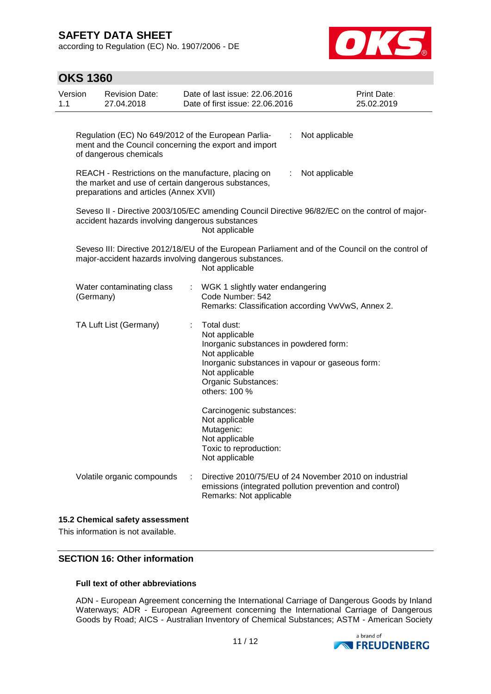according to Regulation (EC) No. 1907/2006 - DE



| <b>OKS 1360</b> |                                                                                                                                                      |    |                                                                                                                                                                                                        |    |                                                                                                                   |  |
|-----------------|------------------------------------------------------------------------------------------------------------------------------------------------------|----|--------------------------------------------------------------------------------------------------------------------------------------------------------------------------------------------------------|----|-------------------------------------------------------------------------------------------------------------------|--|
| Version<br>1.1  | <b>Revision Date:</b><br>27.04.2018                                                                                                                  |    | Date of last issue: 22.06.2016<br>Date of first issue: 22.06.2016                                                                                                                                      |    | Print Date:<br>25.02.2019                                                                                         |  |
|                 | Regulation (EC) No 649/2012 of the European Parlia-<br>ment and the Council concerning the export and import<br>of dangerous chemicals               |    |                                                                                                                                                                                                        | ÷  | Not applicable                                                                                                    |  |
|                 | REACH - Restrictions on the manufacture, placing on<br>the market and use of certain dangerous substances,<br>preparations and articles (Annex XVII) |    |                                                                                                                                                                                                        | ÷. | Not applicable                                                                                                    |  |
|                 | accident hazards involving dangerous substances                                                                                                      |    | Not applicable                                                                                                                                                                                         |    | Seveso II - Directive 2003/105/EC amending Council Directive 96/82/EC on the control of major-                    |  |
|                 |                                                                                                                                                      |    | major-accident hazards involving dangerous substances.<br>Not applicable                                                                                                                               |    | Seveso III: Directive 2012/18/EU of the European Parliament and of the Council on the control of                  |  |
| (Germany)       | Water contaminating class                                                                                                                            | ÷. | WGK 1 slightly water endangering<br>Code Number: 542                                                                                                                                                   |    | Remarks: Classification according VwVwS, Annex 2.                                                                 |  |
|                 | TA Luft List (Germany)                                                                                                                               |    | Total dust:<br>Not applicable<br>Inorganic substances in powdered form:<br>Not applicable<br>Inorganic substances in vapour or gaseous form:<br>Not applicable<br>Organic Substances:<br>others: 100 % |    |                                                                                                                   |  |
|                 |                                                                                                                                                      |    | Carcinogenic substances:<br>Not applicable<br>Mutagenic:<br>Not applicable<br>Toxic to reproduction:<br>Not applicable                                                                                 |    |                                                                                                                   |  |
|                 | Volatile organic compounds                                                                                                                           | ÷  | Remarks: Not applicable                                                                                                                                                                                |    | Directive 2010/75/EU of 24 November 2010 on industrial<br>emissions (integrated pollution prevention and control) |  |

### **15.2 Chemical safety assessment**

This information is not available.

### **SECTION 16: Other information**

#### **Full text of other abbreviations**

ADN - European Agreement concerning the International Carriage of Dangerous Goods by Inland Waterways; ADR - European Agreement concerning the International Carriage of Dangerous Goods by Road; AICS - Australian Inventory of Chemical Substances; ASTM - American Society